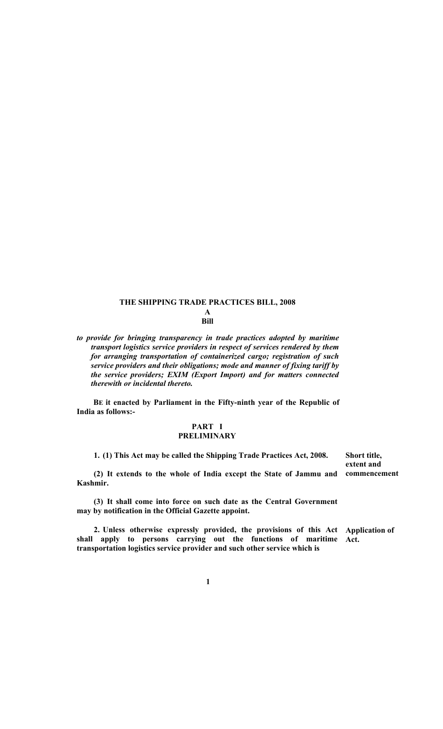# **THE SHIPPING TRADE PRACTICES BILL, 2008**

**A Bill** 

*to provide for bringing transparency in trade practices adopted by maritime transport logistics service providers in respect of services rendered by them for arranging transportation of containerized cargo; registration of such service providers and their obligations; mode and manner of fixing tariff by the service providers; EXIM (Export Import) and for matters connected therewith or incidental thereto.* 

**BE it enacted by Parliament in the Fifty-ninth year of the Republic of India as follows:-** 

## **PART I PRELIMINARY**

**1. (1) This Act may be called the Shipping Trade Practices Act, 2008.** 

**(2) It extends to the whole of India except the State of Jammu and commencement Kashmir.** 

**Short title, extent and** 

**(3) It shall come into force on such date as the Central Government may by notification in the Official Gazette appoint.** 

**2. Unless otherwise expressly provided, the provisions of this Act Application of shall apply to persons carrying out the functions of maritime transportation logistics service provider and such other service which is Act.** 

**1**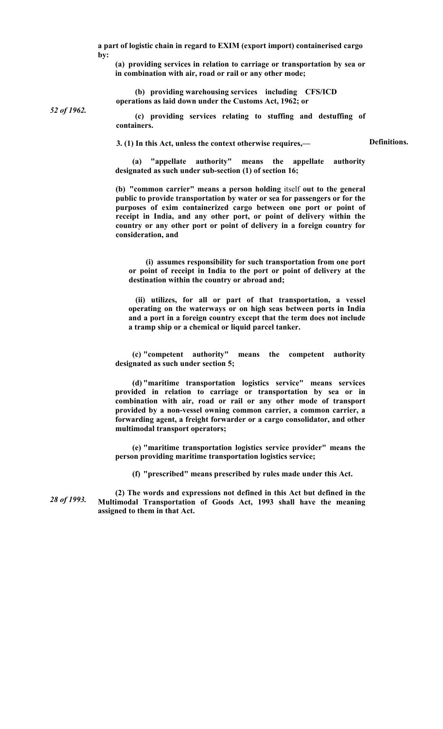**a part of logistic chain in regard to EXIM (export import) containerised cargo by:** 

**(a) providing services in relation to carriage or transportation by sea or in combination with air, road or rail or any other mode;** 

**(b) providing warehousing services including CFS/ICD operations as laid down under the Customs Act, 1962; or** 

*52 of 1962.* 

**(c) providing services relating to stuffing and destuffing of containers.** 

**3. (1) In this Act, unless the context otherwise requires,—** 

**Definitions.** 

**(a) "appellate authority" means the appellate authority designated as such under sub-section (1) of section 16;** 

**(b) "common carrier" means a person holding** itself **out to the general public to provide transportation by water or sea for passengers or for the purposes of exim containerized cargo between one port or point of receipt in India, and any other port, or point of delivery within the country or any other port or point of delivery in a foreign country for consideration, and** 

**(i) assumes responsibility for such transportation from one port or point of receipt in India to the port or point of delivery at the destination within the country or abroad and;** 

**(ii) utilizes, for all or part of that transportation, a vessel operating on the waterways or on high seas between ports in India and a port in a foreign country except that the term does not include a tramp ship or a chemical or liquid parcel tanker.** 

**(c) "competent authority" means the competent authority designated as such under section 5;** 

**(d) "maritime transportation logistics service" means services provided in relation to carriage or transportation by sea or in combination with air, road or rail or any other mode of transport provided by a non-vessel owning common carrier, a common carrier, a forwarding agent, a freight forwarder or a cargo consolidator, and other multimodal transport operators;** 

**(e) "maritime transportation logistics service provider" means the person providing maritime transportation logistics service;** 

**(f) "prescribed" means prescribed by rules made under this Act.** 

*28 of 1993.*  **(2) The words and expressions not defined in this Act but defined in the Multimodal Transportation of Goods Act, 1993 shall have the meaning assigned to them in that Act.**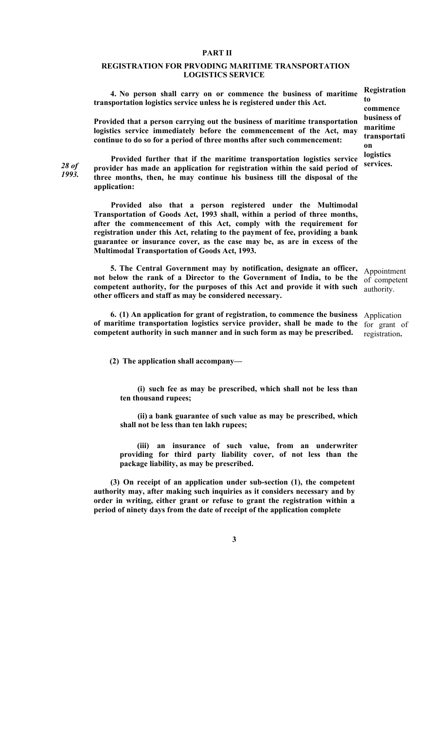### **PART II**

## **REGISTRATION FOR PRVODING MARITIME TRANSPORTATION LOGISTICS SERVICE**

**4. No person shall carry on or commence the business of maritime transportation logistics service unless he is registered under this Act.** 

**Provided that a person carrying out the business of maritime transportation logistics service immediately before the commencement of the Act, may continue to do so for a period of three months after such commencement:** 

*28 of 1993.* 

**Provided further that if the maritime transportation logistics service provider has made an application for registration within the said period of three months, then, he may continue his business till the disposal of the application:** 

**Provided also that a person registered under the Multimodal Transportation of Goods Act, 1993 shall, within a period of three months, after the commencement of this Act, comply with the requirement for registration under this Act, relating to the payment of fee, providing a bank guarantee or insurance cover, as the case may be, as are in excess of the Multimodal Transportation of Goods Act, 1993.** 

**5. The Central Government may by notification, designate an officer,**  Appointment not below the rank of a Director to the Government of India, to be the of competent **competent authority, for the purposes of this Act and provide it with such other officers and staff as may be considered necessary.** 

**6. (1) An application for grant of registration, to commence the business of maritime transportation logistics service provider, shall be made to the competent authority in such manner and in such form as may be prescribed.** 

**(2) The application shall accompany—** 

**(i) such fee as may be prescribed, which shall not be less than ten thousand rupees;** 

**(ii) a bank guarantee of such value as may be prescribed, which shall not be less than ten lakh rupees;** 

**(iii) an insurance of such value, from an underwriter providing for third party liability cover, of not less than the package liability, as may be prescribed.** 

**(3) On receipt of an application under sub-section (1), the competent authority may, after making such inquiries as it considers necessary and by order in writing, either grant or refuse to grant the registration within a period of ninety days from the date of receipt of the application complete** 

**3** 

**Registration to commence business of maritime transportati on logistics services.** 

authority.

Application for grant of registration**.**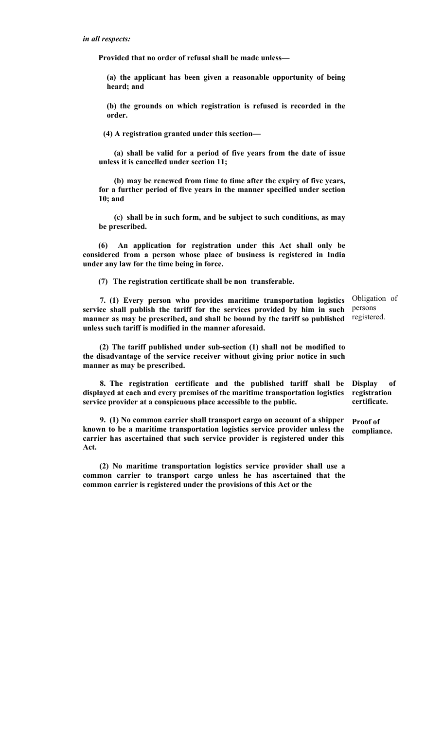**Provided that no order of refusal shall be made unless—** 

**(a) the applicant has been given a reasonable opportunity of being heard; and** 

**(b) the grounds on which registration is refused is recorded in the order.** 

**(4) A registration granted under this section—** 

**(a) shall be valid for a period of five years from the date of issue unless it is cancelled under section 11;** 

**(b) may be renewed from time to time after the expiry of five years, for a further period of five years in the manner specified under section 10; and** 

**(c) shall be in such form, and be subject to such conditions, as may be prescribed.** 

**(6) An application for registration under this Act shall only be considered from a person whose place of business is registered in India under any law for the time being in force.** 

**(7) The registration certificate shall be non transferable.** 

**7. (1) Every person who provides maritime transportation logistics service shall publish the tariff for the services provided by him in such manner as may be prescribed, and shall be bound by the tariff so published unless such tariff is modified in the manner aforesaid.**  Obligation of persons registered.

**(2) The tariff published under sub-section (1) shall not be modified to the disadvantage of the service receiver without giving prior notice in such manner as may be prescribed.** 

**8. The registration certificate and the published tariff shall be displayed at each and every premises of the maritime transportation logistics service provider at a conspicuous place accessible to the public.** 

**9. (1) No common carrier shall transport cargo on account of a shipper known to be a maritime transportation logistics service provider unless the carrier has ascertained that such service provider is registered under this Act.** 

**(2) No maritime transportation logistics service provider shall use a common carrier to transport cargo unless he has ascertained that the common carrier is registered under the provisions of this Act or the** 

**Display of registration certificate.** 

**Proof of compliance.**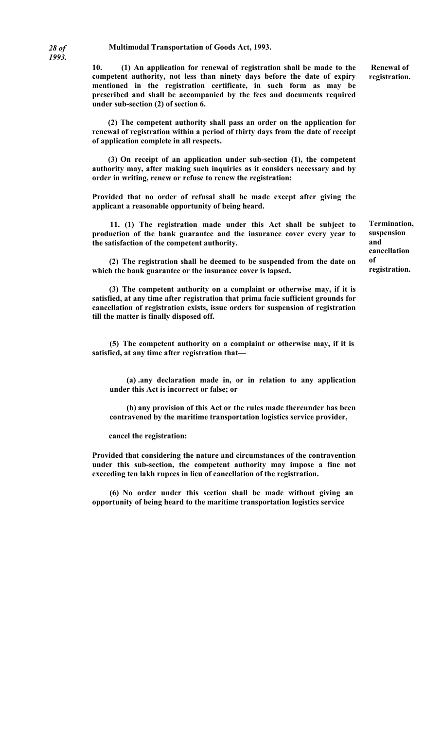**10. (1) An application for renewal of registration shall be made to the competent authority, not less than ninety days before the date of expiry mentioned in the registration certificate, in such form as may be prescribed and shall be accompanied by the fees and documents required under sub-section (2) of section 6.** 

**(2) The competent authority shall pass an order on the application for renewal of registration within a period of thirty days from the date of receipt of application complete in all respects.** 

**(3) On receipt of an application under sub-section (1), the competent authority may, after making such inquiries as it considers necessary and by order in writing, renew or refuse to renew the registration:** 

**Provided that no order of refusal shall be made except after giving the applicant a reasonable opportunity of being heard.** 

**11. (1) The registration made under this Act shall be subject to production of the bank guarantee and the insurance cover every year to the satisfaction of the competent authority.** 

**(2) The registration shall be deemed to be suspended from the date on which the bank guarantee or the insurance cover is lapsed.** 

**(3) The competent authority on a complaint or otherwise may, if it is satisfied, at any time after registration that prima facie sufficient grounds for cancellation of registration exists, issue orders for suspension of registration till the matter is finally disposed off.** 

**(5) The competent authority on a complaint or otherwise may, if it is satisfied, at any time after registration that—** 

**(a) .any declaration made in, or in relation to any application under this Act is incorrect or false; or** 

**(b) any provision of this Act or the rules made thereunder has been contravened by the maritime transportation logistics service provider,** 

**cancel the registration:** 

**Provided that considering the nature and circumstances of the contravention under this sub-section, the competent authority may impose a fine not exceeding ten lakh rupees in lieu of cancellation of the registration.** 

**(6) No order under this section shall be made without giving an opportunity of being heard to the maritime transportation logistics service** 

 **Renewal of registration.** 

**Termination, suspension and cancellation of registration.**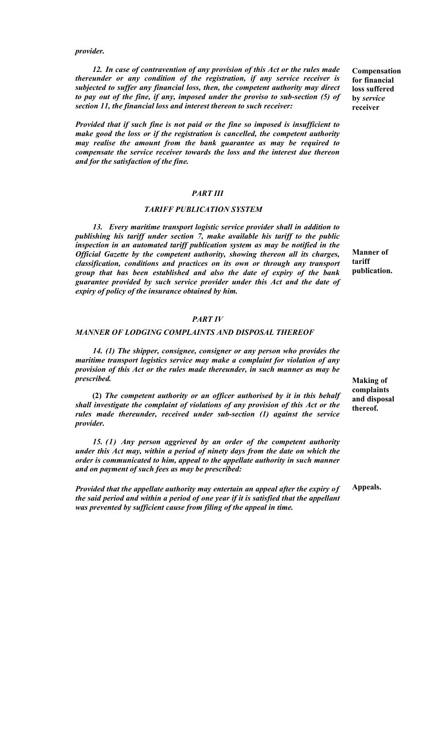*provider.* 

*12. In case of contravention of any provision of this Act or the rules made thereunder or any condition of the registration, if any service receiver is subjected to suffer any financial loss, then, the competent authority may direct to pay out of the fine, if any, imposed under the proviso to sub-section (5) of section 11, the financial loss and interest thereon to such receiver:* 

*Provided that if such fine is not paid or the fine so imposed is insufficient to make good the loss or if the registration is cancelled, the competent authority may realise the amount from the bank guarantee as may be required to compensate the service receiver towards the loss and the interest due thereon and for the satisfaction of the fine.* 

### *PART III*

## *TARIFF PUBLICATION SYSTEM*

*13. Every maritime transport logistic service provider shall in addition to publishing his tariff under section 7, make available his tariff to the public inspection in an automated tariff publication system as may be notified in the Official Gazette by the competent authority, showing thereon all its charges, classification, conditions and practices on its own or through any transport group that has been established and also the date of expiry of the bank guarantee provided by such service provider under this Act and the date of expiry of policy of the insurance obtained by him.* 

#### *PART IV*

#### *MANNER OF LODGING COMPLAINTS AND DISPOSAL THEREOF*

*14. (1) The shipper, consignee, consigner or any person who provides the maritime transport logistics service may make a complaint for violation of any provision of this Act or the rules made thereunder, in such manner as may be prescribed.* 

**(2)** *The competent authority or an officer authorised by it in this behalf shall investigate the complaint of violations of any provision of this Act or the rules made thereunder, received under sub-section (1) against the service provider.* 

*15. (1) Any person aggrieved by an order of the competent authority under this Act may, within a period of ninety days from the date on which the order is communicated to him, appeal to the appellate authority in such manner and on payment of such fees as may be prescribed:* 

*Provided that the appellate authority may entertain an appeal after the expiry of the said period and within a period of one year if it is satisfied that the appellant was prevented by sufficient cause from filing of the appeal in time.* 

**Compensation for financial loss suffered by** *service*  **receiver** 

**Manner of tariff publication.** 

**Making of complaints and disposal thereof.** 

**Appeals.**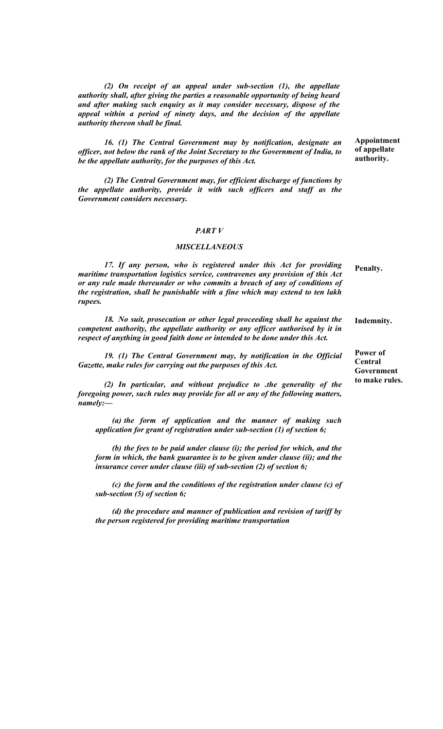*(2) On receipt of an appeal under sub-section (1), the appellate authority shall, after giving the parties a reasonable opportunity of being heard and after making such enquiry as it may consider necessary, dispose of the appeal within a period of ninety days, and the decision of the appellate authority thereon shall be final.* 

*16. (1) The Central Government may by notification, designate an officer, not below the rank of the Joint Secretary to the Government of India, to be the appellate authority, for the purposes of this Act.* 

*(2) The Central Government may, for efficient discharge of functions by the appellate authority, provide it with such officers and staff as the Government considers necessary.* 

### *PART V*

#### *MISCELLANEOUS*

*17. If any person, who is registered under this Act for providing maritime transportation logistics service, contravenes any provision of this Act or any rule made thereunder or who commits a breach of any of conditions of the registration, shall be punishable with a fine which may extend to ten lakh rupees.*  **Penalty.** 

*18. No suit, prosecution or other legal proceeding shall he against the competent authority, the appellate authority or any officer authorised by it in respect of anything in good faith done or intended to be done under this Act.*  **Indemnity.** 

*19. (1) The Central Government may, by notification in the Official Gazette, make rules for carrying out the purposes of this Act.* 

*(2) In particular, and without prejudice to .the generality of the foregoing power, such rules may provide for all or any of the following matters, namely:—* 

*(a) the form of application and the manner of making such application for grant of registration under sub-section (1) of section 6;* 

*(b) the fees to be paid under clause (i); the period for which, and the form in which, the bank guarantee is to be given under clause (ii); and the insurance cover under clause (iii) of sub-section (2) of section 6;* 

*(c) the form and the conditions of the registration under clause (c) of sub-section (5) of section 6;* 

*(d) the procedure and manner of publication and revision of tariff by the person registered for providing maritime transportation* 

**Power of Central Government to make rules.** 

**Appointment of appellate authority.**